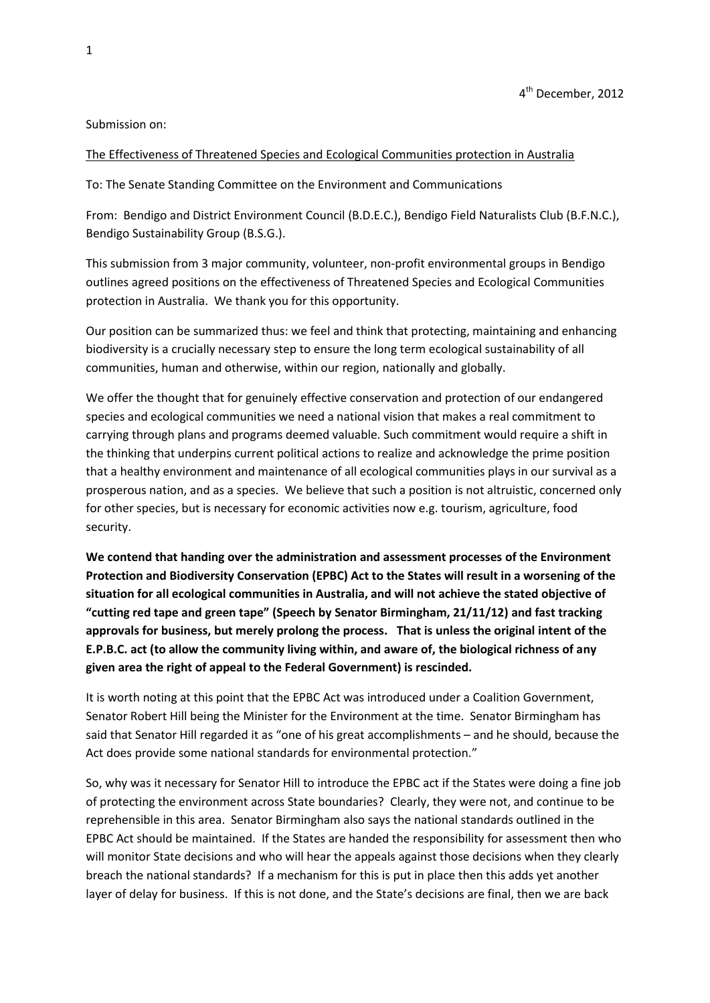Submission on:

### The Effectiveness of Threatened Species and Ecological Communities protection in Australia

To: The Senate Standing Committee on the Environment and Communications

From: Bendigo and District Environment Council (B.D.E.C.), Bendigo Field Naturalists Club (B.F.N.C.), Bendigo Sustainability Group (B.S.G.).

This submission from 3 major community, volunteer, non-profit environmental groups in Bendigo outlines agreed positions on the effectiveness of Threatened Species and Ecological Communities protection in Australia. We thank you for this opportunity.

Our position can be summarized thus: we feel and think that protecting, maintaining and enhancing biodiversity is a crucially necessary step to ensure the long term ecological sustainability of all communities, human and otherwise, within our region, nationally and globally.

We offer the thought that for genuinely effective conservation and protection of our endangered species and ecological communities we need a national vision that makes a real commitment to carrying through plans and programs deemed valuable. Such commitment would require a shift in the thinking that underpins current political actions to realize and acknowledge the prime position that a healthy environment and maintenance of all ecological communities plays in our survival as a prosperous nation, and as a species. We believe that such a position is not altruistic, concerned only for other species, but is necessary for economic activities now e.g. tourism, agriculture, food security.

**We contend that handing over the administration and assessment processes of the Environment Protection and Biodiversity Conservation (EPBC) Act to the States will result in a worsening of the situation for all ecological communities in Australia, and will not achieve the stated objective of "cutting red tape and green tape" (Speech by Senator Birmingham, 21/11/12) and fast tracking approvals for business, but merely prolong the process. That is unless the original intent of the E.P.B.C. act (to allow the community living within, and aware of, the biological richness of any given area the right of appeal to the Federal Government) is rescinded.** 

It is worth noting at this point that the EPBC Act was introduced under a Coalition Government, Senator Robert Hill being the Minister for the Environment at the time. Senator Birmingham has said that Senator Hill regarded it as "one of his great accomplishments – and he should, because the Act does provide some national standards for environmental protection."

So, why was it necessary for Senator Hill to introduce the EPBC act if the States were doing a fine job of protecting the environment across State boundaries? Clearly, they were not, and continue to be reprehensible in this area. Senator Birmingham also says the national standards outlined in the EPBC Act should be maintained. If the States are handed the responsibility for assessment then who will monitor State decisions and who will hear the appeals against those decisions when they clearly breach the national standards? If a mechanism for this is put in place then this adds yet another layer of delay for business. If this is not done, and the State's decisions are final, then we are back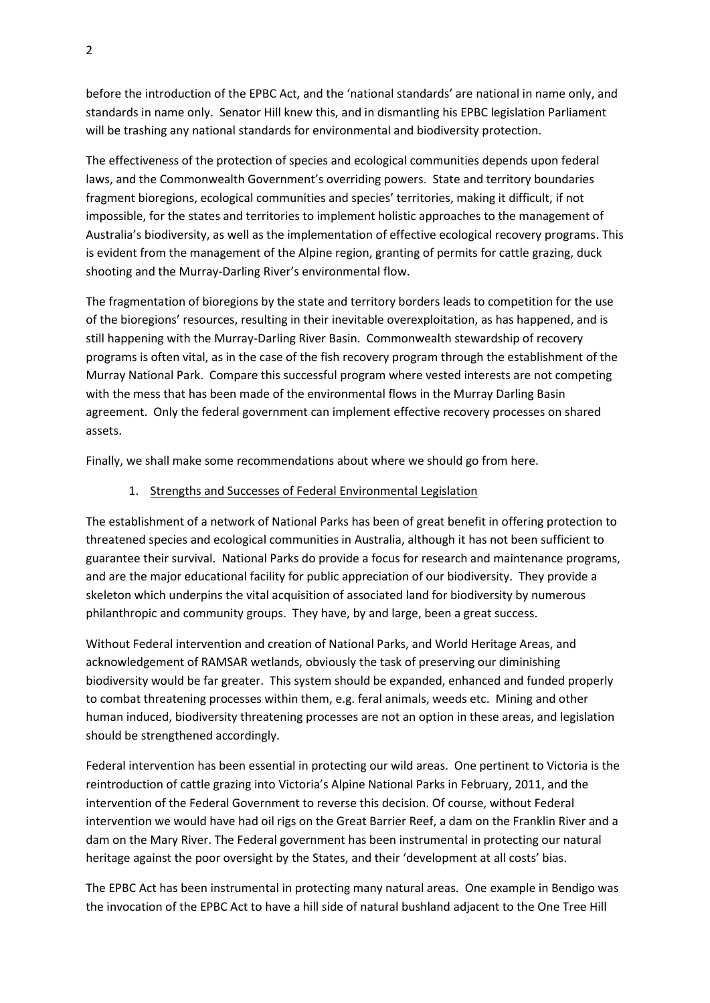before the introduction of the EPBC Act, and the 'national standards' are national in name only, and standards in name only. Senator Hill knew this, and in dismantling his EPBC legislation Parliament will be trashing any national standards for environmental and biodiversity protection.

The effectiveness of the protection of species and ecological communities depends upon federal laws, and the Commonwealth Government's overriding powers. State and territory boundaries fragment bioregions, ecological communities and species' territories, making it difficult, if not impossible, for the states and territories to implement holistic approaches to the management of Australia's biodiversity, as well as the implementation of effective ecological recovery programs. This is evident from the management of the Alpine region, granting of permits for cattle grazing, duck shooting and the Murray-Darling River's environmental flow.

The fragmentation of bioregions by the state and territory borders leads to competition for the use of the bioregions' resources, resulting in their inevitable overexploitation, as has happened, and is still happening with the Murray-Darling River Basin. Commonwealth stewardship of recovery programs is often vital, as in the case of the fish recovery program through the establishment of the Murray National Park. Compare this successful program where vested interests are not competing with the mess that has been made of the environmental flows in the Murray Darling Basin agreement. Only the federal government can implement effective recovery processes on shared assets.

Finally, we shall make some recommendations about where we should go from here.

### 1. Strengths and Successes of Federal Environmental Legislation

The establishment of a network of National Parks has been of great benefit in offering protection to threatened species and ecological communities in Australia, although it has not been sufficient to guarantee their survival. National Parks do provide a focus for research and maintenance programs, and are the major educational facility for public appreciation of our biodiversity. They provide a skeleton which underpins the vital acquisition of associated land for biodiversity by numerous philanthropic and community groups. They have, by and large, been a great success.

Without Federal intervention and creation of National Parks, and World Heritage Areas, and acknowledgement of RAMSAR wetlands, obviously the task of preserving our diminishing biodiversity would be far greater. This system should be expanded, enhanced and funded properly to combat threatening processes within them, e.g. feral animals, weeds etc. Mining and other human induced, biodiversity threatening processes are not an option in these areas, and legislation should be strengthened accordingly.

Federal intervention has been essential in protecting our wild areas. One pertinent to Victoria is the reintroduction of cattle grazing into Victoria's Alpine National Parks in February, 2011, and the intervention of the Federal Government to reverse this decision. Of course, without Federal intervention we would have had oil rigs on the Great Barrier Reef, a dam on the Franklin River and a dam on the Mary River. The Federal government has been instrumental in protecting our natural heritage against the poor oversight by the States, and their 'development at all costs' bias.

The EPBC Act has been instrumental in protecting many natural areas. One example in Bendigo was the invocation of the EPBC Act to have a hill side of natural bushland adjacent to the One Tree Hill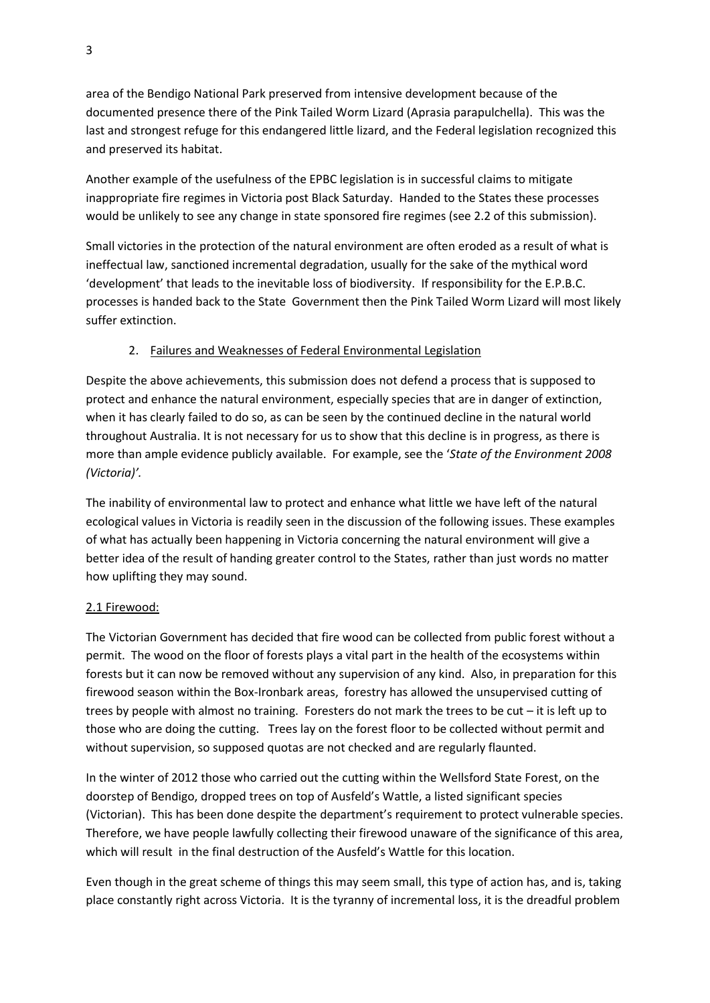area of the Bendigo National Park preserved from intensive development because of the documented presence there of the Pink Tailed Worm Lizard (Aprasia parapulchella). This was the last and strongest refuge for this endangered little lizard, and the Federal legislation recognized this and preserved its habitat.

Another example of the usefulness of the EPBC legislation is in successful claims to mitigate inappropriate fire regimes in Victoria post Black Saturday. Handed to the States these processes would be unlikely to see any change in state sponsored fire regimes (see 2.2 of this submission).

Small victories in the protection of the natural environment are often eroded as a result of what is ineffectual law, sanctioned incremental degradation, usually for the sake of the mythical word 'development' that leads to the inevitable loss of biodiversity. If responsibility for the E.P.B.C. processes is handed back to the State Government then the Pink Tailed Worm Lizard will most likely suffer extinction.

# 2. Failures and Weaknesses of Federal Environmental Legislation

Despite the above achievements, this submission does not defend a process that is supposed to protect and enhance the natural environment, especially species that are in danger of extinction, when it has clearly failed to do so, as can be seen by the continued decline in the natural world throughout Australia. It is not necessary for us to show that this decline is in progress, as there is more than ample evidence publicly available. For example, see the '*State of the Environment 2008 (Victoria)'.*

The inability of environmental law to protect and enhance what little we have left of the natural ecological values in Victoria is readily seen in the discussion of the following issues. These examples of what has actually been happening in Victoria concerning the natural environment will give a better idea of the result of handing greater control to the States, rather than just words no matter how uplifting they may sound.

# 2.1 Firewood:

The Victorian Government has decided that fire wood can be collected from public forest without a permit. The wood on the floor of forests plays a vital part in the health of the ecosystems within forests but it can now be removed without any supervision of any kind. Also, in preparation for this firewood season within the Box-Ironbark areas, forestry has allowed the unsupervised cutting of trees by people with almost no training. Foresters do not mark the trees to be cut – it is left up to those who are doing the cutting. Trees lay on the forest floor to be collected without permit and without supervision, so supposed quotas are not checked and are regularly flaunted.

In the winter of 2012 those who carried out the cutting within the Wellsford State Forest, on the doorstep of Bendigo, dropped trees on top of Ausfeld's Wattle, a listed significant species (Victorian). This has been done despite the department's requirement to protect vulnerable species. Therefore, we have people lawfully collecting their firewood unaware of the significance of this area, which will result in the final destruction of the Ausfeld's Wattle for this location.

Even though in the great scheme of things this may seem small, this type of action has, and is, taking place constantly right across Victoria. It is the tyranny of incremental loss, it is the dreadful problem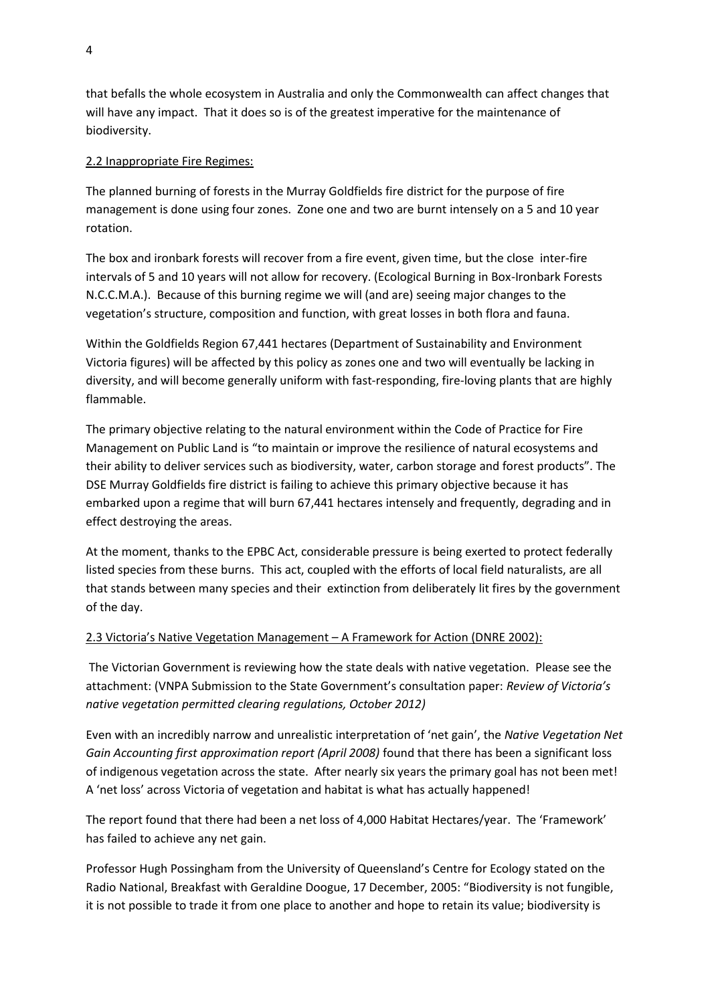that befalls the whole ecosystem in Australia and only the Commonwealth can affect changes that will have any impact. That it does so is of the greatest imperative for the maintenance of biodiversity.

# 2.2 Inappropriate Fire Regimes:

The planned burning of forests in the Murray Goldfields fire district for the purpose of fire management is done using four zones. Zone one and two are burnt intensely on a 5 and 10 year rotation.

The box and ironbark forests will recover from a fire event, given time, but the close inter-fire intervals of 5 and 10 years will not allow for recovery. (Ecological Burning in Box-Ironbark Forests N.C.C.M.A.). Because of this burning regime we will (and are) seeing major changes to the vegetation's structure, composition and function, with great losses in both flora and fauna.

Within the Goldfields Region 67,441 hectares (Department of Sustainability and Environment Victoria figures) will be affected by this policy as zones one and two will eventually be lacking in diversity, and will become generally uniform with fast-responding, fire-loving plants that are highly flammable.

The primary objective relating to the natural environment within the Code of Practice for Fire Management on Public Land is "to maintain or improve the resilience of natural ecosystems and their ability to deliver services such as biodiversity, water, carbon storage and forest products". The DSE Murray Goldfields fire district is failing to achieve this primary objective because it has embarked upon a regime that will burn 67,441 hectares intensely and frequently, degrading and in effect destroying the areas.

At the moment, thanks to the EPBC Act, considerable pressure is being exerted to protect federally listed species from these burns. This act, coupled with the efforts of local field naturalists, are all that stands between many species and their extinction from deliberately lit fires by the government of the day.

# 2.3 Victoria's Native Vegetation Management – A Framework for Action (DNRE 2002):

The Victorian Government is reviewing how the state deals with native vegetation. Please see the attachment: (VNPA Submission to the State Government's consultation paper: *Review of Victoria's native vegetation permitted clearing regulations, October 2012)*

Even with an incredibly narrow and unrealistic interpretation of 'net gain', the *Native Vegetation Net Gain Accounting first approximation report (April 2008)* found that there has been a significant loss of indigenous vegetation across the state. After nearly six years the primary goal has not been met! A 'net loss' across Victoria of vegetation and habitat is what has actually happened!

The report found that there had been a net loss of 4,000 Habitat Hectares/year. The 'Framework' has failed to achieve any net gain.

Professor Hugh Possingham from the University of Queensland's Centre for Ecology stated on the Radio National, Breakfast with Geraldine Doogue, 17 December, 2005: "Biodiversity is not fungible, it is not possible to trade it from one place to another and hope to retain its value; biodiversity is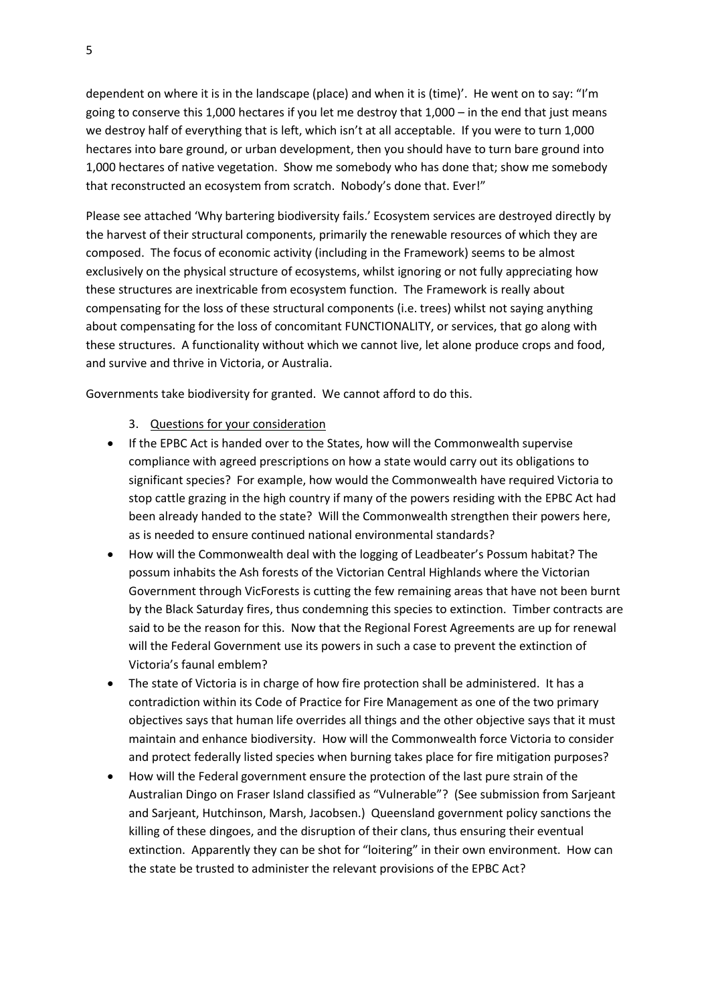dependent on where it is in the landscape (place) and when it is (time)'. He went on to say: "I'm going to conserve this 1,000 hectares if you let me destroy that 1,000 – in the end that just means we destroy half of everything that is left, which isn't at all acceptable. If you were to turn 1,000 hectares into bare ground, or urban development, then you should have to turn bare ground into 1,000 hectares of native vegetation. Show me somebody who has done that; show me somebody that reconstructed an ecosystem from scratch. Nobody's done that. Ever!"

Please see attached 'Why bartering biodiversity fails.' Ecosystem services are destroyed directly by the harvest of their structural components, primarily the renewable resources of which they are composed. The focus of economic activity (including in the Framework) seems to be almost exclusively on the physical structure of ecosystems, whilst ignoring or not fully appreciating how these structures are inextricable from ecosystem function. The Framework is really about compensating for the loss of these structural components (i.e. trees) whilst not saying anything about compensating for the loss of concomitant FUNCTIONALITY, or services, that go along with these structures. A functionality without which we cannot live, let alone produce crops and food, and survive and thrive in Victoria, or Australia.

Governments take biodiversity for granted. We cannot afford to do this.

- 3. Questions for your consideration
- If the EPBC Act is handed over to the States, how will the Commonwealth supervise compliance with agreed prescriptions on how a state would carry out its obligations to significant species? For example, how would the Commonwealth have required Victoria to stop cattle grazing in the high country if many of the powers residing with the EPBC Act had been already handed to the state? Will the Commonwealth strengthen their powers here, as is needed to ensure continued national environmental standards?
- How will the Commonwealth deal with the logging of Leadbeater's Possum habitat? The possum inhabits the Ash forests of the Victorian Central Highlands where the Victorian Government through VicForests is cutting the few remaining areas that have not been burnt by the Black Saturday fires, thus condemning this species to extinction. Timber contracts are said to be the reason for this. Now that the Regional Forest Agreements are up for renewal will the Federal Government use its powers in such a case to prevent the extinction of Victoria's faunal emblem?
- The state of Victoria is in charge of how fire protection shall be administered. It has a contradiction within its Code of Practice for Fire Management as one of the two primary objectives says that human life overrides all things and the other objective says that it must maintain and enhance biodiversity. How will the Commonwealth force Victoria to consider and protect federally listed species when burning takes place for fire mitigation purposes?
- How will the Federal government ensure the protection of the last pure strain of the Australian Dingo on Fraser Island classified as "Vulnerable"? (See submission from Sarjeant and Sarjeant, Hutchinson, Marsh, Jacobsen.) Queensland government policy sanctions the killing of these dingoes, and the disruption of their clans, thus ensuring their eventual extinction. Apparently they can be shot for "loitering" in their own environment. How can the state be trusted to administer the relevant provisions of the EPBC Act?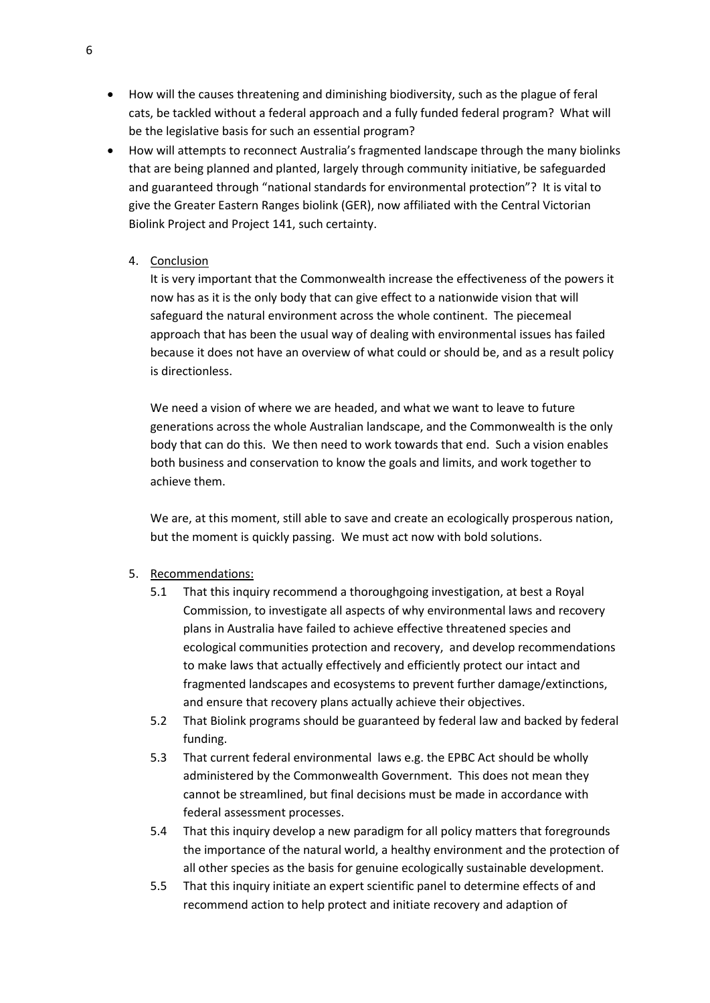- How will the causes threatening and diminishing biodiversity, such as the plague of feral cats, be tackled without a federal approach and a fully funded federal program? What will be the legislative basis for such an essential program?
- How will attempts to reconnect Australia's fragmented landscape through the many biolinks that are being planned and planted, largely through community initiative, be safeguarded and guaranteed through "national standards for environmental protection"? It is vital to give the Greater Eastern Ranges biolink (GER), now affiliated with the Central Victorian Biolink Project and Project 141, such certainty.
	- 4. Conclusion

It is very important that the Commonwealth increase the effectiveness of the powers it now has as it is the only body that can give effect to a nationwide vision that will safeguard the natural environment across the whole continent. The piecemeal approach that has been the usual way of dealing with environmental issues has failed because it does not have an overview of what could or should be, and as a result policy is directionless.

We need a vision of where we are headed, and what we want to leave to future generations across the whole Australian landscape, and the Commonwealth is the only body that can do this. We then need to work towards that end. Such a vision enables both business and conservation to know the goals and limits, and work together to achieve them.

We are, at this moment, still able to save and create an ecologically prosperous nation, but the moment is quickly passing. We must act now with bold solutions.

- 5. Recommendations:
	- 5.1 That this inquiry recommend a thoroughgoing investigation, at best a Royal Commission, to investigate all aspects of why environmental laws and recovery plans in Australia have failed to achieve effective threatened species and ecological communities protection and recovery, and develop recommendations to make laws that actually effectively and efficiently protect our intact and fragmented landscapes and ecosystems to prevent further damage/extinctions, and ensure that recovery plans actually achieve their objectives.
	- 5.2 That Biolink programs should be guaranteed by federal law and backed by federal funding.
	- 5.3 That current federal environmental laws e.g. the EPBC Act should be wholly administered by the Commonwealth Government. This does not mean they cannot be streamlined, but final decisions must be made in accordance with federal assessment processes.
	- 5.4 That this inquiry develop a new paradigm for all policy matters that foregrounds the importance of the natural world, a healthy environment and the protection of all other species as the basis for genuine ecologically sustainable development.
	- 5.5 That this inquiry initiate an expert scientific panel to determine effects of and recommend action to help protect and initiate recovery and adaption of